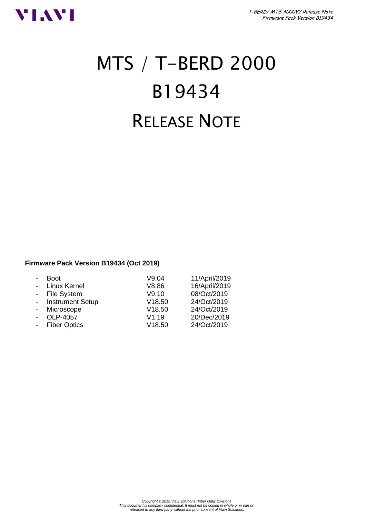

# MTS / T-BERD 2000 B19434 RELEASE NOTE

#### **Firmware Pack Version B19434 (Oct 2019)**

|                | <b>Boot</b>             | V9.04  | 11/April/2019 |
|----------------|-------------------------|--------|---------------|
| $\overline{a}$ | Linux Kernel            | V8.86  | 16/April/2019 |
|                | - File System           | V9.10  | 08/Oct/2019   |
| $\sim$         | <b>Instrument Setup</b> | V18.50 | 24/Oct/2019   |
|                | Microscope              | V18.50 | 24/Oct/2019   |
|                | OLP-4057                | V1.19  | 20/Dec/2019   |
|                | <b>Fiber Optics</b>     | V18.50 | 24/Oct/2019   |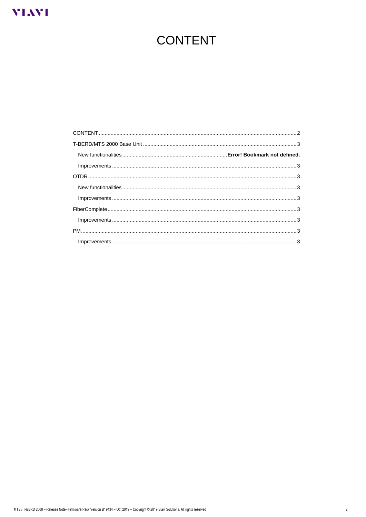# <span id="page-1-0"></span>**VIAVI**

# **CONTENT**